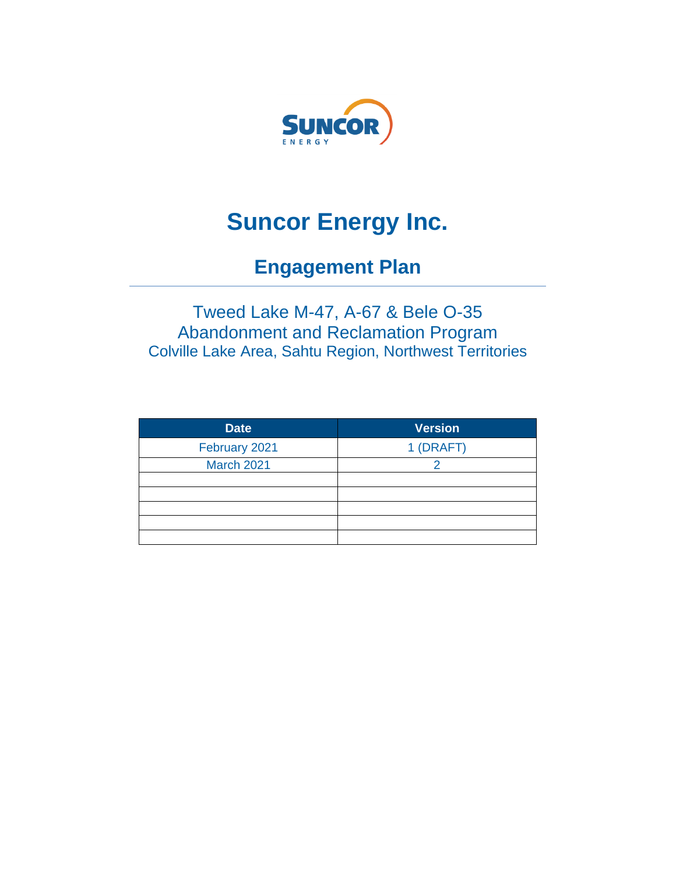

# **Suncor Energy Inc.**

# **Engagement Plan**

## Tweed Lake M-47, A-67 & Bele O-35 Abandonment and Reclamation Program Colville Lake Area, Sahtu Region, Northwest Territories

| <b>Date</b>       | <b>Version</b> |
|-------------------|----------------|
| February 2021     | 1 (DRAFT)      |
| <b>March 2021</b> |                |
|                   |                |
|                   |                |
|                   |                |
|                   |                |
|                   |                |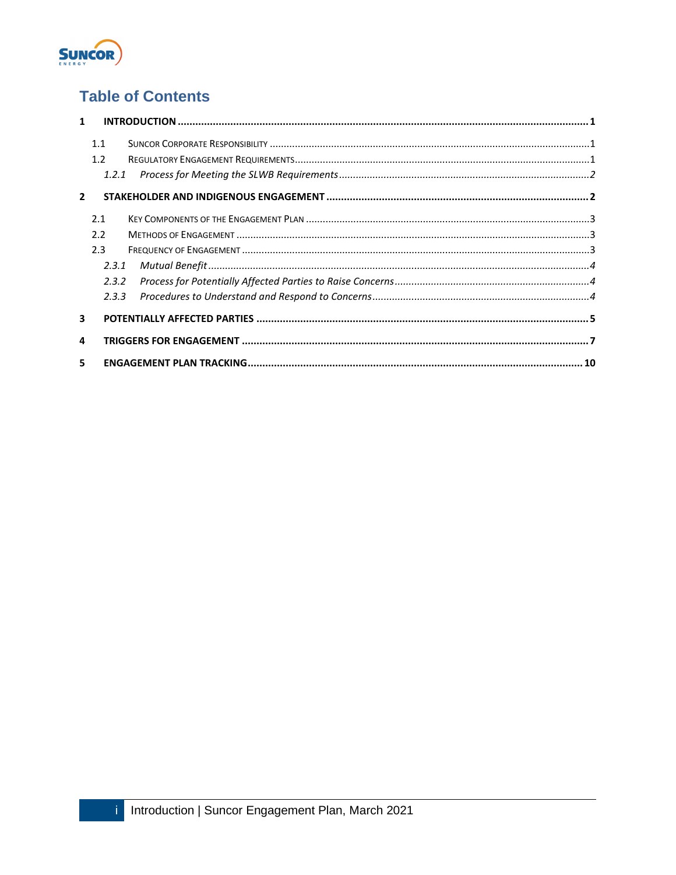

## **Table of Contents**

| $\mathbf{1}$            |                    |  |
|-------------------------|--------------------|--|
|                         | 11<br>1.2<br>1.2.1 |  |
| $\mathbf{2}$            |                    |  |
|                         | 2.1                |  |
|                         | 22                 |  |
|                         | 2.3                |  |
|                         | 2.3.1              |  |
|                         | 2.3.2              |  |
|                         | 2.3.3              |  |
| $\overline{\mathbf{3}}$ |                    |  |
| 4                       |                    |  |
| 5                       |                    |  |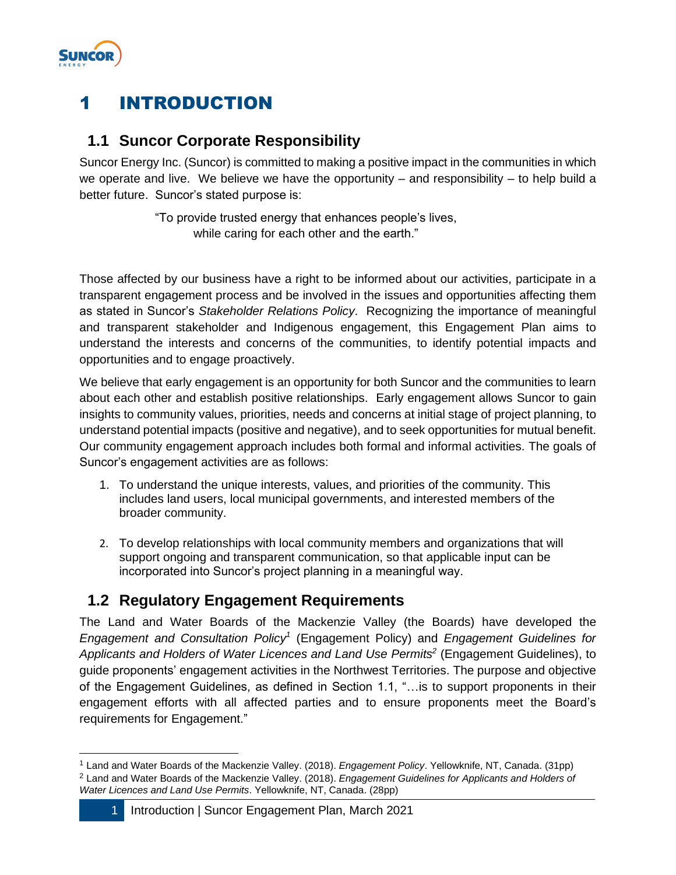

# <span id="page-2-0"></span>1 INTRODUCTION

### <span id="page-2-1"></span>**1.1 Suncor Corporate Responsibility**

Suncor Energy Inc. (Suncor) is committed to making a positive impact in the communities in which we operate and live. We believe we have the opportunity – and responsibility – to help build a better future. Suncor's stated purpose is:

> "To provide trusted energy that enhances people's lives, while caring for each other and the earth."

Those affected by our business have a right to be informed about our activities, participate in a transparent engagement process and be involved in the issues and opportunities affecting them as stated in Suncor's *Stakeholder Relations Policy*. Recognizing the importance of meaningful and transparent stakeholder and Indigenous engagement, this Engagement Plan aims to understand the interests and concerns of the communities, to identify potential impacts and opportunities and to engage proactively.

We believe that early engagement is an opportunity for both Suncor and the communities to learn about each other and establish positive relationships. Early engagement allows Suncor to gain insights to community values, priorities, needs and concerns at initial stage of project planning, to understand potential impacts (positive and negative), and to seek opportunities for mutual benefit. Our community engagement approach includes both formal and informal activities. The goals of Suncor's engagement activities are as follows:

- 1. To understand the unique interests, values, and priorities of the community. This includes land users, local municipal governments, and interested members of the broader community.
- 2. To develop relationships with local community members and organizations that will support ongoing and transparent communication, so that applicable input can be incorporated into Suncor's project planning in a meaningful way.

### <span id="page-2-2"></span>**1.2 Regulatory Engagement Requirements**

The Land and Water Boards of the Mackenzie Valley (the Boards) have developed the *Engagement and Consultation Policy<sup>1</sup>* (Engagement Policy) and *Engagement Guidelines for Applicants and Holders of Water Licences and Land Use Permits<sup>2</sup>* (Engagement Guidelines), to guide proponents' engagement activities in the Northwest Territories. The purpose and objective of the Engagement Guidelines, as defined in Section 1.1, "…is to support proponents in their engagement efforts with all affected parties and to ensure proponents meet the Board's requirements for Engagement."

<sup>1</sup> Land and Water Boards of the Mackenzie Valley. (2018). *Engagement Policy*. Yellowknife, NT, Canada. (31pp) <sup>2</sup> Land and Water Boards of the Mackenzie Valley. (2018). *Engagement Guidelines for Applicants and Holders of Water Licences and Land Use Permits*. Yellowknife, NT, Canada. (28pp)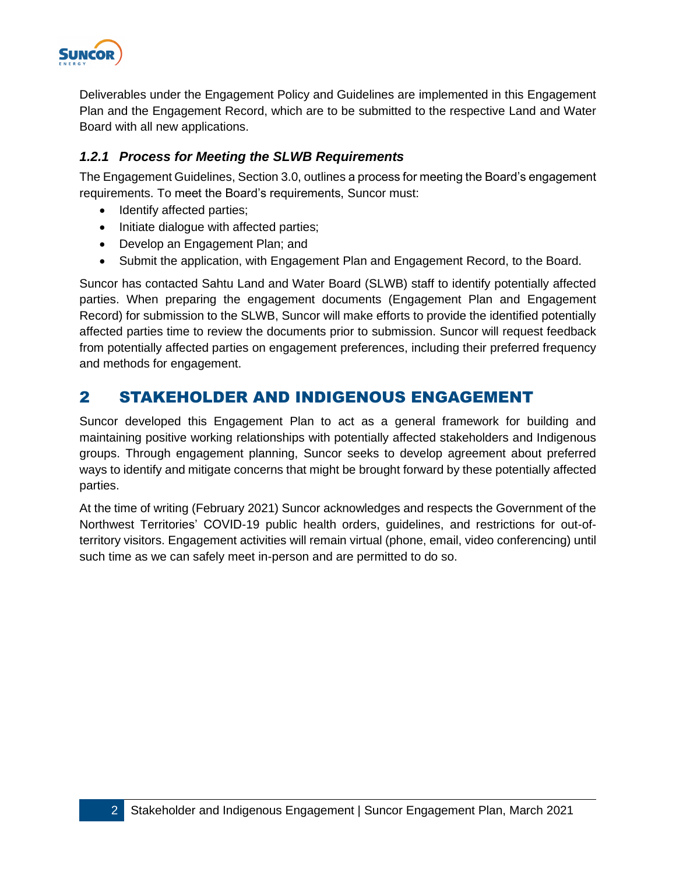

Deliverables under the Engagement Policy and Guidelines are implemented in this Engagement Plan and the Engagement Record, which are to be submitted to the respective Land and Water Board with all new applications.

#### <span id="page-3-0"></span>*1.2.1 Process for Meeting the SLWB Requirements*

The Engagement Guidelines, Section 3.0, outlines a process for meeting the Board's engagement requirements. To meet the Board's requirements, Suncor must:

- Identify affected parties;
- Initiate dialogue with affected parties;
- Develop an Engagement Plan; and
- Submit the application, with Engagement Plan and Engagement Record, to the Board.

Suncor has contacted Sahtu Land and Water Board (SLWB) staff to identify potentially affected parties. When preparing the engagement documents (Engagement Plan and Engagement Record) for submission to the SLWB, Suncor will make efforts to provide the identified potentially affected parties time to review the documents prior to submission. Suncor will request feedback from potentially affected parties on engagement preferences, including their preferred frequency and methods for engagement.

### <span id="page-3-1"></span>2 STAKEHOLDER AND INDIGENOUS ENGAGEMENT

Suncor developed this Engagement Plan to act as a general framework for building and maintaining positive working relationships with potentially affected stakeholders and Indigenous groups. Through engagement planning, Suncor seeks to develop agreement about preferred ways to identify and mitigate concerns that might be brought forward by these potentially affected parties.

At the time of writing (February 2021) Suncor acknowledges and respects the Government of the Northwest Territories' COVID-19 public health orders, guidelines, and restrictions for out-ofterritory visitors. Engagement activities will remain virtual (phone, email, video conferencing) until such time as we can safely meet in-person and are permitted to do so.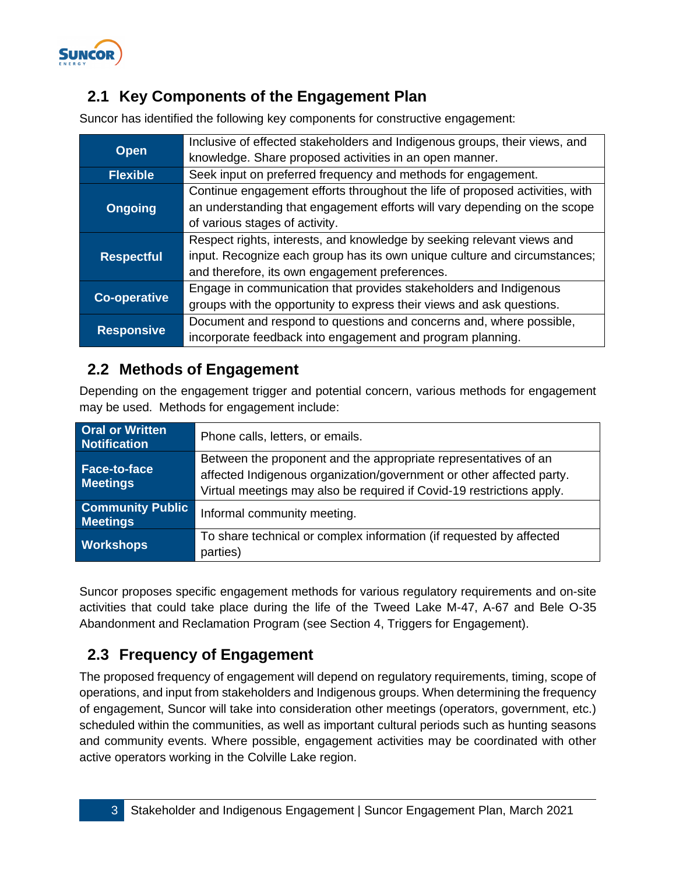

### <span id="page-4-0"></span>**2.1 Key Components of the Engagement Plan**

Suncor has identified the following key components for constructive engagement:

|                     | Inclusive of effected stakeholders and Indigenous groups, their views, and   |
|---------------------|------------------------------------------------------------------------------|
| <b>Open</b>         | knowledge. Share proposed activities in an open manner.                      |
| <b>Flexible</b>     | Seek input on preferred frequency and methods for engagement.                |
|                     | Continue engagement efforts throughout the life of proposed activities, with |
| <b>Ongoing</b>      | an understanding that engagement efforts will vary depending on the scope    |
|                     | of various stages of activity.                                               |
|                     | Respect rights, interests, and knowledge by seeking relevant views and       |
| <b>Respectful</b>   | input. Recognize each group has its own unique culture and circumstances;    |
|                     | and therefore, its own engagement preferences.                               |
|                     | Engage in communication that provides stakeholders and Indigenous            |
| <b>Co-operative</b> | groups with the opportunity to express their views and ask questions.        |
|                     | Document and respond to questions and concerns and, where possible,          |
| <b>Responsive</b>   | incorporate feedback into engagement and program planning.                   |

### <span id="page-4-1"></span>**2.2 Methods of Engagement**

Depending on the engagement trigger and potential concern, various methods for engagement may be used. Methods for engagement include:

| <b>Oral or Written</b><br><b>Notification</b> | Phone calls, letters, or emails.                                                                                                                                                                                 |
|-----------------------------------------------|------------------------------------------------------------------------------------------------------------------------------------------------------------------------------------------------------------------|
| <b>Face-to-face</b><br><b>Meetings</b>        | Between the proponent and the appropriate representatives of an<br>affected Indigenous organization/government or other affected party.<br>Virtual meetings may also be required if Covid-19 restrictions apply. |
| <b>Community Public</b><br><b>Meetings</b>    | Informal community meeting.                                                                                                                                                                                      |
| <b>Workshops</b>                              | To share technical or complex information (if requested by affected<br>parties)                                                                                                                                  |

Suncor proposes specific engagement methods for various regulatory requirements and on-site activities that could take place during the life of the Tweed Lake M-47, A-67 and Bele O-35 Abandonment and Reclamation Program (see Section 4, Triggers for Engagement).

## <span id="page-4-2"></span>**2.3 Frequency of Engagement**

The proposed frequency of engagement will depend on regulatory requirements, timing, scope of operations, and input from stakeholders and Indigenous groups. When determining the frequency of engagement, Suncor will take into consideration other meetings (operators, government, etc.) scheduled within the communities, as well as important cultural periods such as hunting seasons and community events. Where possible, engagement activities may be coordinated with other active operators working in the Colville Lake region.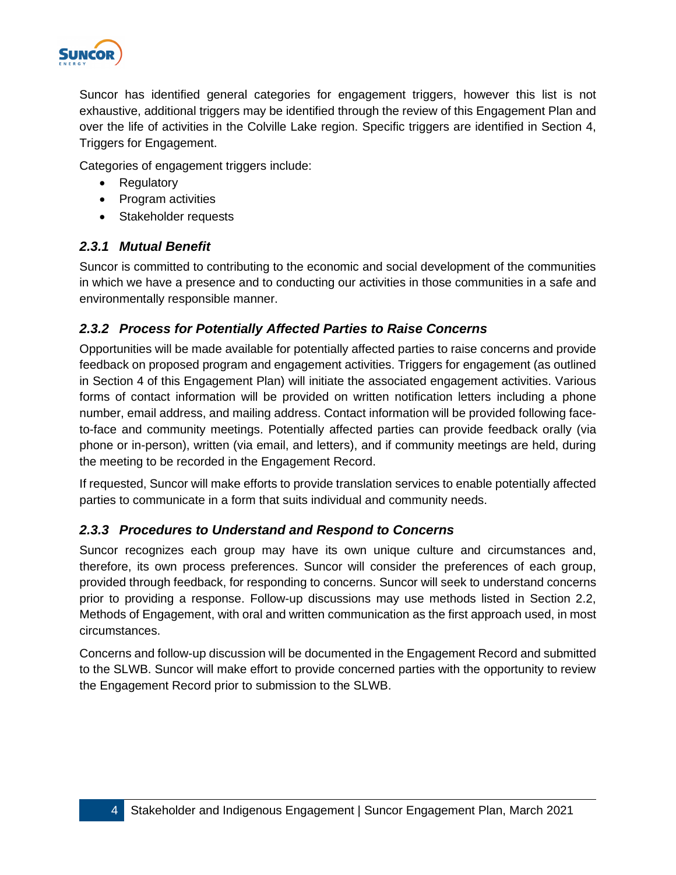

Suncor has identified general categories for engagement triggers, however this list is not exhaustive, additional triggers may be identified through the review of this Engagement Plan and over the life of activities in the Colville Lake region. Specific triggers are identified in Section 4, Triggers for Engagement.

Categories of engagement triggers include:

- Regulatory
- Program activities
- Stakeholder requests

#### <span id="page-5-0"></span>*2.3.1 Mutual Benefit*

Suncor is committed to contributing to the economic and social development of the communities in which we have a presence and to conducting our activities in those communities in a safe and environmentally responsible manner.

#### <span id="page-5-1"></span>*2.3.2 Process for Potentially Affected Parties to Raise Concerns*

Opportunities will be made available for potentially affected parties to raise concerns and provide feedback on proposed program and engagement activities. Triggers for engagement (as outlined in Section 4 of this Engagement Plan) will initiate the associated engagement activities. Various forms of contact information will be provided on written notification letters including a phone number, email address, and mailing address. Contact information will be provided following faceto-face and community meetings. Potentially affected parties can provide feedback orally (via phone or in-person), written (via email, and letters), and if community meetings are held, during the meeting to be recorded in the Engagement Record.

If requested, Suncor will make efforts to provide translation services to enable potentially affected parties to communicate in a form that suits individual and community needs.

#### <span id="page-5-2"></span>*2.3.3 Procedures to Understand and Respond to Concerns*

Suncor recognizes each group may have its own unique culture and circumstances and, therefore, its own process preferences. Suncor will consider the preferences of each group, provided through feedback, for responding to concerns. Suncor will seek to understand concerns prior to providing a response. Follow-up discussions may use methods listed in Section 2.2, Methods of Engagement, with oral and written communication as the first approach used, in most circumstances.

Concerns and follow-up discussion will be documented in the Engagement Record and submitted to the SLWB. Suncor will make effort to provide concerned parties with the opportunity to review the Engagement Record prior to submission to the SLWB.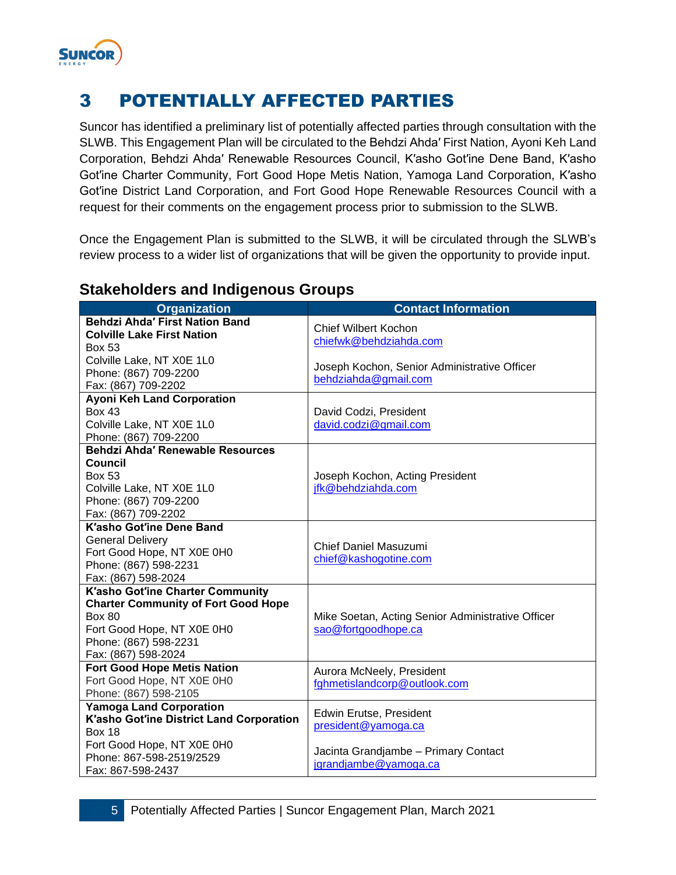

# <span id="page-6-0"></span>3 POTENTIALLY AFFECTED PARTIES

Suncor has identified a preliminary list of potentially affected parties through consultation with the SLWB. This Engagement Plan will be circulated to the Behdzi Ahda′ First Nation, Ayoni Keh Land Corporation, Behdzi Ahda′ Renewable Resources Council, K′asho Got′ine Dene Band, K′asho Got′ine Charter Community, Fort Good Hope Metis Nation, Yamoga Land Corporation, K′asho Got′ine District Land Corporation, and Fort Good Hope Renewable Resources Council with a request for their comments on the engagement process prior to submission to the SLWB.

Once the Engagement Plan is submitted to the SLWB, it will be circulated through the SLWB's review process to a wider list of organizations that will be given the opportunity to provide input.

| <b>Organization</b>                        | <b>Contact Information</b>                        |
|--------------------------------------------|---------------------------------------------------|
| <b>Behdzi Ahda' First Nation Band</b>      | <b>Chief Wilbert Kochon</b>                       |
| <b>Colville Lake First Nation</b>          | chiefwk@behdziahda.com                            |
| <b>Box 53</b>                              |                                                   |
| Colville Lake, NT X0E 1L0                  | Joseph Kochon, Senior Administrative Officer      |
| Phone: (867) 709-2200                      | behdziahda@gmail.com                              |
| Fax: (867) 709-2202                        |                                                   |
| <b>Ayoni Keh Land Corporation</b>          |                                                   |
| <b>Box 43</b>                              | David Codzi, President                            |
| Colville Lake, NT X0E 1L0                  | david.codzi@gmail.com                             |
| Phone: (867) 709-2200                      |                                                   |
| Behdzi Ahda' Renewable Resources           |                                                   |
| Council                                    |                                                   |
| <b>Box 53</b>                              | Joseph Kochon, Acting President                   |
| Colville Lake, NT X0E 1L0                  | jfk@behdziahda.com                                |
| Phone: (867) 709-2200                      |                                                   |
| Fax: (867) 709-2202                        |                                                   |
| <b>K'asho Got'ine Dene Band</b>            |                                                   |
| <b>General Delivery</b>                    | <b>Chief Daniel Masuzumi</b>                      |
| Fort Good Hope, NT X0E 0H0                 |                                                   |
| Phone: (867) 598-2231                      | chief@kashogotine.com                             |
| Fax: (867) 598-2024                        |                                                   |
| K'asho Got'ine Charter Community           |                                                   |
| <b>Charter Community of Fort Good Hope</b> |                                                   |
| <b>Box 80</b>                              | Mike Soetan, Acting Senior Administrative Officer |
| Fort Good Hope, NT X0E 0H0                 | sao@fortgoodhope.ca                               |
| Phone: (867) 598-2231                      |                                                   |
| Fax: (867) 598-2024                        |                                                   |
| <b>Fort Good Hope Metis Nation</b>         | Aurora McNeely, President                         |
| Fort Good Hope, NT X0E 0H0                 | fghmetislandcorp@outlook.com                      |
| Phone: (867) 598-2105                      |                                                   |
| <b>Yamoga Land Corporation</b>             |                                                   |
| K'asho Got'ine District Land Corporation   | Edwin Erutse, President                           |
| <b>Box 18</b>                              | president@yamoga.ca                               |
| Fort Good Hope, NT X0E 0H0                 |                                                   |
| Phone: 867-598-2519/2529                   | Jacinta Grandjambe - Primary Contact              |
| Fax: 867-598-2437                          | jgrandjambe@yamoga.ca                             |

#### **Stakeholders and Indigenous Groups**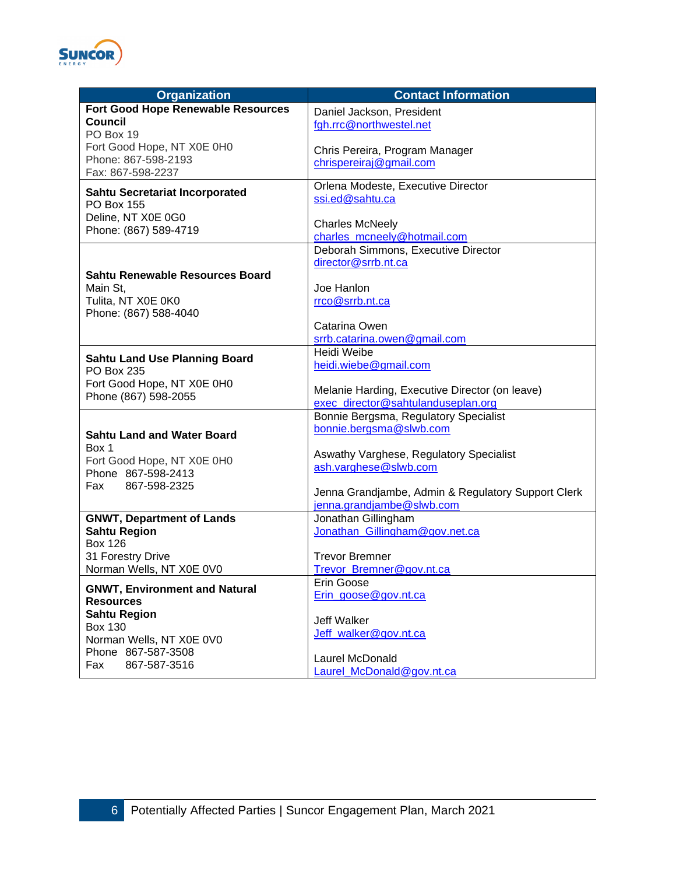

| <b>Organization</b>                              | <b>Contact Information</b>                         |
|--------------------------------------------------|----------------------------------------------------|
| <b>Fort Good Hope Renewable Resources</b>        | Daniel Jackson, President                          |
| <b>Council</b>                                   | fgh.rrc@northwestel.net                            |
| PO Box 19                                        |                                                    |
| Fort Good Hope, NT X0E 0H0                       | Chris Pereira, Program Manager                     |
| Phone: 867-598-2193                              | chrispereiraj@gmail.com                            |
| Fax: 867-598-2237                                |                                                    |
| Sahtu Secretariat Incorporated                   | Orlena Modeste, Executive Director                 |
| PO Box 155                                       | ssi.ed@sahtu.ca                                    |
| Deline, NT X0E 0G0                               |                                                    |
| Phone: (867) 589-4719                            | <b>Charles McNeely</b>                             |
|                                                  | charles mcneely@hotmail.com                        |
|                                                  | Deborah Simmons, Executive Director                |
|                                                  | director@srrb.nt.ca                                |
| <b>Sahtu Renewable Resources Board</b>           |                                                    |
| Main St,                                         | Joe Hanlon                                         |
| Tulita, NT X0E 0K0                               | rrco@srrb.nt.ca                                    |
| Phone: (867) 588-4040                            | Catarina Owen                                      |
|                                                  | srrb.catarina.owen@gmail.com                       |
|                                                  | Heidi Weibe                                        |
| <b>Sahtu Land Use Planning Board</b>             | heidi.wiebe@gmail.com                              |
| PO Box 235                                       |                                                    |
| Fort Good Hope, NT X0E 0H0                       | Melanie Harding, Executive Director (on leave)     |
| Phone (867) 598-2055                             | exec director@sahtulanduseplan.org                 |
|                                                  | Bonnie Bergsma, Regulatory Specialist              |
|                                                  | bonnie.bergsma@slwb.com                            |
| <b>Sahtu Land and Water Board</b>                |                                                    |
| Box 1                                            | Aswathy Varghese, Regulatory Specialist            |
| Fort Good Hope, NT X0E 0H0<br>Phone 867-598-2413 | ash.varghese@slwb.com                              |
|                                                  |                                                    |
| 867-598-2325<br>Fax                              | Jenna Grandjambe, Admin & Regulatory Support Clerk |
|                                                  | jenna.grandjambe@slwb.com                          |
| <b>GNWT, Department of Lands</b>                 | Jonathan Gillingham                                |
| <b>Sahtu Region</b>                              | Jonathan_Gillingham@gov.net.ca                     |
| <b>Box 126</b>                                   |                                                    |
| 31 Forestry Drive                                | <b>Trevor Bremner</b>                              |
| Norman Wells, NT X0E 0V0                         | Trevor_Bremner@gov.nt.ca                           |
| <b>GNWT, Environment and Natural</b>             | Erin Goose                                         |
| <b>Resources</b>                                 | Erin_goose@gov.nt.ca                               |
| <b>Sahtu Region</b>                              |                                                    |
| <b>Box 130</b>                                   | Jeff Walker                                        |
| Norman Wells, NT X0E 0V0                         | Jeff walker@gov.nt.ca                              |
| Phone 867-587-3508                               | Laurel McDonald                                    |
| Fax<br>867-587-3516                              | Laurel_McDonald@gov.nt.ca                          |
|                                                  |                                                    |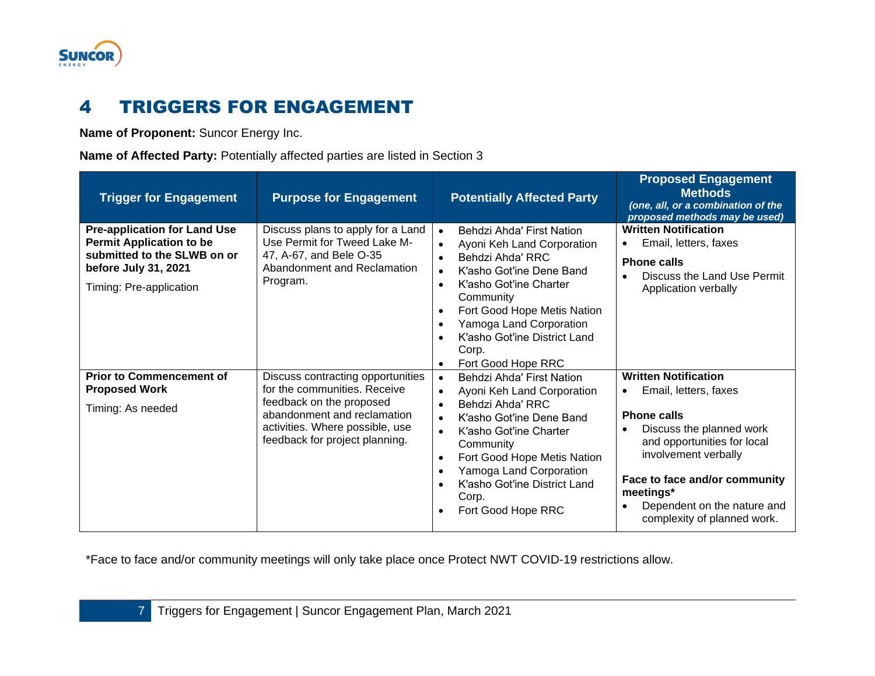

# 4 TRIGGERS FOR ENGAGEMENT

**Name of Proponent:** Suncor Energy Inc.

**Name of Affected Party:** Potentially affected parties are listed in Section 3

<span id="page-8-0"></span>

| <b>Trigger for Engagement</b>                                                                                                                            | <b>Purpose for Engagement</b>                                                                                                                                                                     | <b>Potentially Affected Party</b>                                                                                                                                                                                                                                                                                                                                               | <b>Proposed Engagement</b><br><b>Methods</b><br>(one, all, or a combination of the<br>proposed methods may be used)                                                                                                                                                                    |
|----------------------------------------------------------------------------------------------------------------------------------------------------------|---------------------------------------------------------------------------------------------------------------------------------------------------------------------------------------------------|---------------------------------------------------------------------------------------------------------------------------------------------------------------------------------------------------------------------------------------------------------------------------------------------------------------------------------------------------------------------------------|----------------------------------------------------------------------------------------------------------------------------------------------------------------------------------------------------------------------------------------------------------------------------------------|
| <b>Pre-application for Land Use</b><br><b>Permit Application to be</b><br>submitted to the SLWB on or<br>before July 31, 2021<br>Timing: Pre-application | Discuss plans to apply for a Land<br>Use Permit for Tweed Lake M-<br>47, A-67, and Bele O-35<br>Abandonment and Reclamation<br>Program.                                                           | Behdzi Ahda' First Nation<br>$\bullet$<br>Ayoni Keh Land Corporation<br>Behdzi Ahda' RRC<br>$\bullet$<br>K'asho Got'ine Dene Band<br>$\bullet$<br>K'asho Got'ine Charter<br>$\bullet$<br>Community<br>Fort Good Hope Metis Nation<br>$\bullet$<br>Yamoga Land Corporation<br>$\bullet$<br>K'asho Got'ine District Land<br>$\bullet$<br>Corp.<br>Fort Good Hope RRC<br>$\bullet$ | <b>Written Notification</b><br>Email, letters, faxes<br><b>Phone calls</b><br>Discuss the Land Use Permit<br>Application verbally                                                                                                                                                      |
| <b>Prior to Commencement of</b><br><b>Proposed Work</b><br>Timing: As needed                                                                             | Discuss contracting opportunities<br>for the communities. Receive<br>feedback on the proposed<br>abandonment and reclamation<br>activities. Where possible, use<br>feedback for project planning. | Behdzi Ahda' First Nation<br>$\bullet$<br>Ayoni Keh Land Corporation<br>Behdzi Ahda' RRC<br>K'asho Got'ine Dene Band<br>K'asho Got'ine Charter<br>$\bullet$<br>Community<br>Fort Good Hope Metis Nation<br>$\bullet$<br>Yamoga Land Corporation<br>K'asho Got'ine District Land<br>Corp.<br>Fort Good Hope RRC<br>$\bullet$                                                     | <b>Written Notification</b><br>Email, letters, faxes<br>$\bullet$<br><b>Phone calls</b><br>Discuss the planned work<br>and opportunities for local<br>involvement verbally<br>Face to face and/or community<br>meetings*<br>Dependent on the nature and<br>complexity of planned work. |

\*Face to face and/or community meetings will only take place once Protect NWT COVID-19 restrictions allow.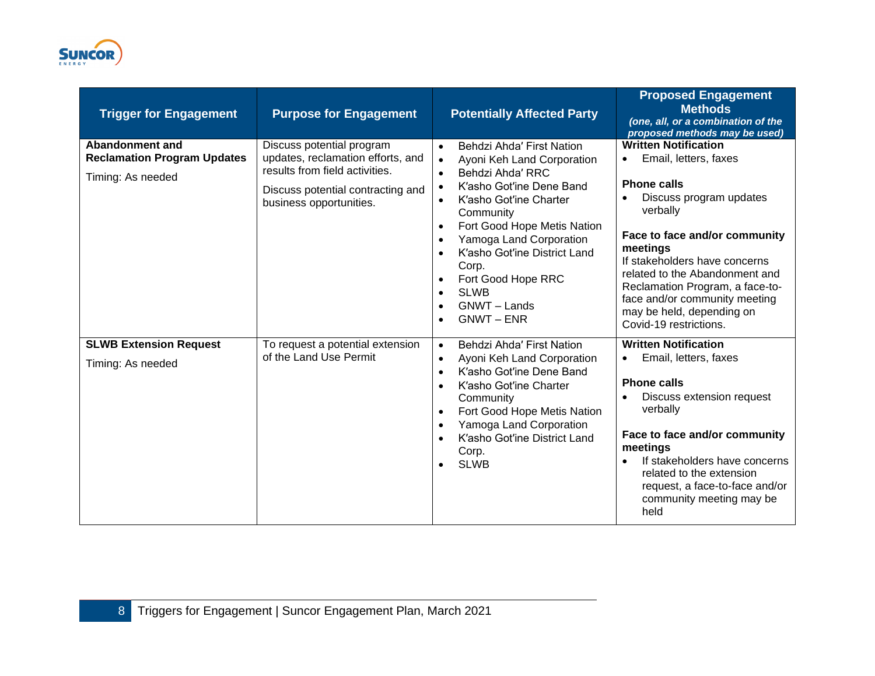

| <b>Trigger for Engagement</b>                                                     | <b>Purpose for Engagement</b>                                                                                                                                    | <b>Potentially Affected Party</b>                                                                                                                                                                                                                                                                                                                                                                                                                             | <b>Proposed Engagement</b><br><b>Methods</b><br>(one, all, or a combination of the<br>proposed methods may be used)                                                                                                                                                                                                                                                       |
|-----------------------------------------------------------------------------------|------------------------------------------------------------------------------------------------------------------------------------------------------------------|---------------------------------------------------------------------------------------------------------------------------------------------------------------------------------------------------------------------------------------------------------------------------------------------------------------------------------------------------------------------------------------------------------------------------------------------------------------|---------------------------------------------------------------------------------------------------------------------------------------------------------------------------------------------------------------------------------------------------------------------------------------------------------------------------------------------------------------------------|
| <b>Abandonment and</b><br><b>Reclamation Program Updates</b><br>Timing: As needed | Discuss potential program<br>updates, reclamation efforts, and<br>results from field activities.<br>Discuss potential contracting and<br>business opportunities. | Behdzi Ahda' First Nation<br>$\bullet$<br>Ayoni Keh Land Corporation<br>$\bullet$<br>Behdzi Ahda' RRC<br>$\bullet$<br>K'asho Got'ine Dene Band<br>K'asho Got'ine Charter<br>$\bullet$<br>Community<br>Fort Good Hope Metis Nation<br>$\bullet$<br>Yamoga Land Corporation<br>$\bullet$<br>K'asho Got'ine District Land<br>$\bullet$<br>Corp.<br>Fort Good Hope RRC<br>$\bullet$<br><b>SLWB</b><br>$\bullet$<br>GNWT - Lands<br>$\bullet$<br><b>GNWT - ENR</b> | <b>Written Notification</b><br>Email, letters, faxes<br>$\bullet$<br><b>Phone calls</b><br>Discuss program updates<br>verbally<br>Face to face and/or community<br>meetings<br>If stakeholders have concerns<br>related to the Abandonment and<br>Reclamation Program, a face-to-<br>face and/or community meeting<br>may be held, depending on<br>Covid-19 restrictions. |
| <b>SLWB Extension Request</b><br>Timing: As needed                                | To request a potential extension<br>of the Land Use Permit                                                                                                       | Behdzi Ahda' First Nation<br>$\bullet$<br>Ayoni Keh Land Corporation<br>$\bullet$<br>K'asho Got'ine Dene Band<br>$\bullet$<br>K'asho Got'ine Charter<br>$\bullet$<br>Community<br>Fort Good Hope Metis Nation<br>$\bullet$<br>Yamoga Land Corporation<br>$\bullet$<br>K'asho Got'ine District Land<br>Corp.<br><b>SLWB</b><br>$\bullet$                                                                                                                       | <b>Written Notification</b><br>Email, letters, faxes<br><b>Phone calls</b><br>Discuss extension request<br>verbally<br>Face to face and/or community<br>meetings<br>If stakeholders have concerns<br>related to the extension<br>request, a face-to-face and/or<br>community meeting may be<br>held                                                                       |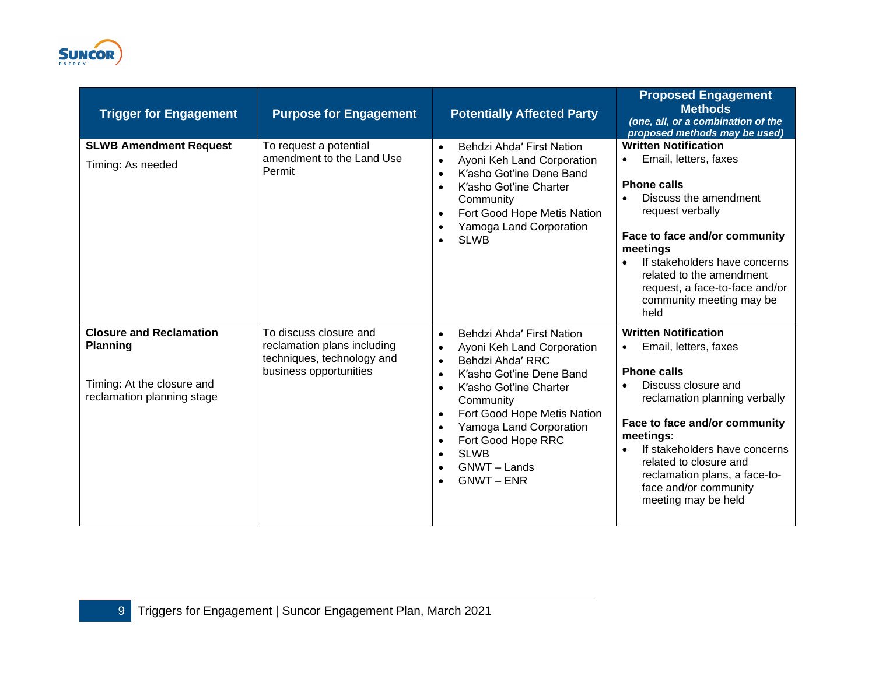

| <b>Trigger for Engagement</b>                                                                                 | <b>Purpose for Engagement</b>                                                                                 | <b>Potentially Affected Party</b>                                                                                                                                                                                                                                                                                                                                                                     | <b>Proposed Engagement</b><br><b>Methods</b><br>(one, all, or a combination of the<br>proposed methods may be used)                                                                                                                                                                                                                       |
|---------------------------------------------------------------------------------------------------------------|---------------------------------------------------------------------------------------------------------------|-------------------------------------------------------------------------------------------------------------------------------------------------------------------------------------------------------------------------------------------------------------------------------------------------------------------------------------------------------------------------------------------------------|-------------------------------------------------------------------------------------------------------------------------------------------------------------------------------------------------------------------------------------------------------------------------------------------------------------------------------------------|
| <b>SLWB Amendment Request</b><br>Timing: As needed                                                            | To request a potential<br>amendment to the Land Use<br>Permit                                                 | Behdzi Ahda' First Nation<br>$\bullet$<br>Ayoni Keh Land Corporation<br>$\bullet$<br>K'asho Got'ine Dene Band<br>$\bullet$<br>K'asho Got'ine Charter<br>$\bullet$<br>Community<br>Fort Good Hope Metis Nation<br>$\bullet$<br>Yamoga Land Corporation<br><b>SLWB</b><br>$\bullet$                                                                                                                     | <b>Written Notification</b><br>Email, letters, faxes<br>$\bullet$<br><b>Phone calls</b><br>Discuss the amendment<br>request verbally<br>Face to face and/or community<br>meetings<br>If stakeholders have concerns<br>related to the amendment<br>request, a face-to-face and/or<br>community meeting may be<br>held                      |
| <b>Closure and Reclamation</b><br><b>Planning</b><br>Timing: At the closure and<br>reclamation planning stage | To discuss closure and<br>reclamation plans including<br>techniques, technology and<br>business opportunities | Behdzi Ahda' First Nation<br>$\bullet$<br>Ayoni Keh Land Corporation<br>$\bullet$<br>Behdzi Ahda' RRC<br>$\bullet$<br>K'asho Got'ine Dene Band<br>$\bullet$<br>K'asho Got'ine Charter<br>Community<br>Fort Good Hope Metis Nation<br>$\bullet$<br>Yamoga Land Corporation<br>$\bullet$<br>Fort Good Hope RRC<br>$\bullet$<br><b>SLWB</b><br>$\bullet$<br>GNWT-Lands<br>$\bullet$<br><b>GNWT - ENR</b> | <b>Written Notification</b><br>Email, letters, faxes<br>$\bullet$<br><b>Phone calls</b><br>Discuss closure and<br>reclamation planning verbally<br>Face to face and/or community<br>meetings:<br>If stakeholders have concerns<br>related to closure and<br>reclamation plans, a face-to-<br>face and/or community<br>meeting may be held |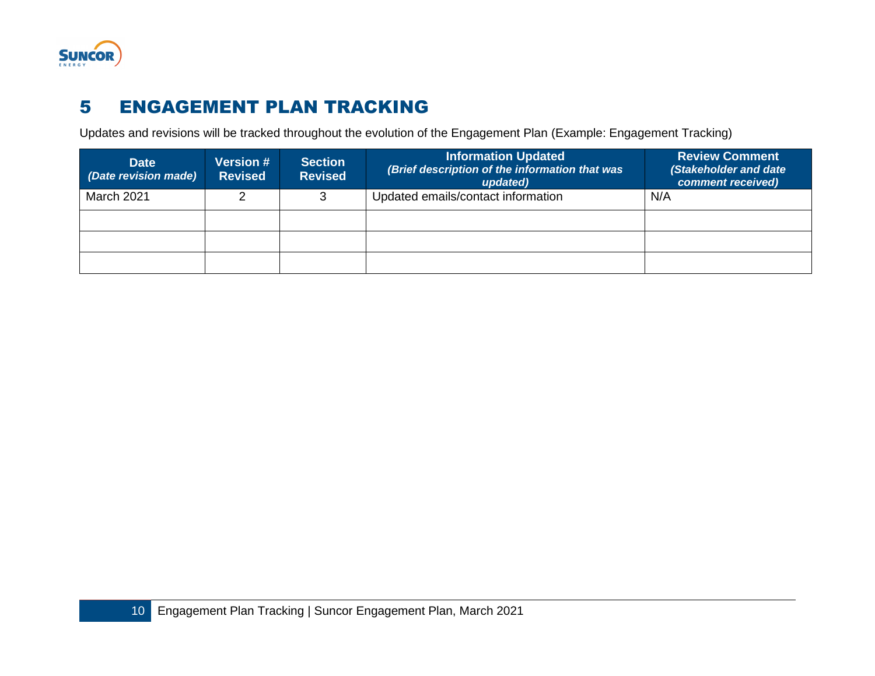

# 5 ENGAGEMENT PLAN TRACKING

Updates and revisions will be tracked throughout the evolution of the Engagement Plan (Example: Engagement Tracking)

<span id="page-11-0"></span>

| <b>Date</b><br>(Date revision made) | <b>Version #</b><br><b>Revised</b> | <b>Section</b><br><b>Revised</b> | <b>Information Updated</b><br>(Brief description of the information that was<br>updated) | <b>Review Comment</b><br>(Stakeholder and date<br>comment received) |
|-------------------------------------|------------------------------------|----------------------------------|------------------------------------------------------------------------------------------|---------------------------------------------------------------------|
| March 2021                          |                                    | ิว                               | Updated emails/contact information                                                       | N/A                                                                 |
|                                     |                                    |                                  |                                                                                          |                                                                     |
|                                     |                                    |                                  |                                                                                          |                                                                     |
|                                     |                                    |                                  |                                                                                          |                                                                     |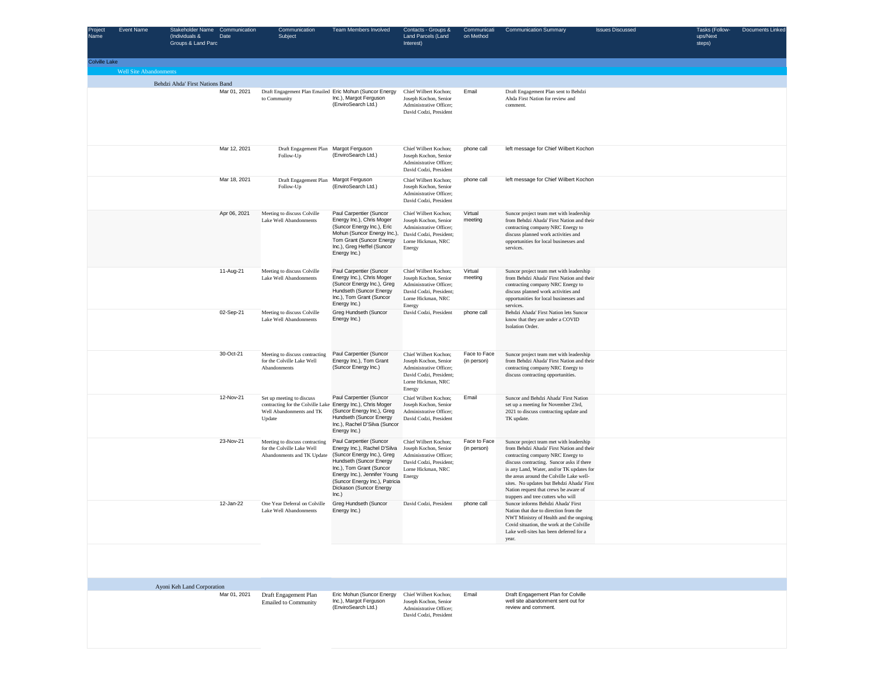| Project<br>Name      | <b>Event Name</b>             | Stakeholder Name Communication<br>(Individuals &<br>Date<br>Groups & Land Parc | Communication<br>Subject                                                                                                       | <b>Team Members Involved</b>                                                                                                                                                                                                                       | Contacts - Groups &<br>Land Parcels (Land<br>Interest)                                                                               | Communicati<br>on Method    | <b>Communication Summary</b>                                                                                                                                                                                                                                                                                                                                                                | <b>Issues Discussed</b> | Tasks (Follow-<br>ups/Next<br>steps) | Documents Linked |
|----------------------|-------------------------------|--------------------------------------------------------------------------------|--------------------------------------------------------------------------------------------------------------------------------|----------------------------------------------------------------------------------------------------------------------------------------------------------------------------------------------------------------------------------------------------|--------------------------------------------------------------------------------------------------------------------------------------|-----------------------------|---------------------------------------------------------------------------------------------------------------------------------------------------------------------------------------------------------------------------------------------------------------------------------------------------------------------------------------------------------------------------------------------|-------------------------|--------------------------------------|------------------|
| <b>Colville Lake</b> |                               |                                                                                |                                                                                                                                |                                                                                                                                                                                                                                                    |                                                                                                                                      |                             |                                                                                                                                                                                                                                                                                                                                                                                             |                         |                                      |                  |
|                      | <b>Well Site Abandonments</b> | Behdzi Ahda' First Nations Band                                                |                                                                                                                                |                                                                                                                                                                                                                                                    |                                                                                                                                      |                             |                                                                                                                                                                                                                                                                                                                                                                                             |                         |                                      |                  |
|                      |                               | Mar 01, 2021                                                                   | Draft Engagement Plan Emailed Eric Mohun (Suncor Energy<br>to Community                                                        | Inc.), Margot Ferguson<br>(EnviroSearch Ltd.)                                                                                                                                                                                                      | Chief Wilbert Kochon;<br>Joseph Kochon, Senior<br>Administrative Officer;<br>David Codzi, President                                  | Email                       | Draft Engagement Plan sent to Behdzi<br>Ahda First Nation for review and<br>comment.                                                                                                                                                                                                                                                                                                        |                         |                                      |                  |
|                      |                               | Mar 12, 2021                                                                   | Draft Engagement Plan Margot Ferguson<br>Follow-Up                                                                             | (EnviroSearch Ltd.)                                                                                                                                                                                                                                | Chief Wilbert Kochon;<br>Joseph Kochon, Senior<br>Administrative Officer;<br>David Codzi, President                                  | phone call                  | left message for Chief Wilbert Kochon                                                                                                                                                                                                                                                                                                                                                       |                         |                                      |                  |
|                      |                               | Mar 18, 2021                                                                   | Draft Engagement Plan Margot Ferguson<br>Follow-Up                                                                             | (EnviroSearch Ltd.)                                                                                                                                                                                                                                | Chief Wilbert Kochon;<br>Joseph Kochon, Senior<br>Administrative Officer;<br>David Codzi, President                                  | phone call                  | left message for Chief Wilbert Kochon                                                                                                                                                                                                                                                                                                                                                       |                         |                                      |                  |
|                      |                               | Apr 06, 2021                                                                   | Meeting to discuss Colville<br>Lake Well Abandonments                                                                          | Paul Carpentier (Suncor<br>Energy Inc.), Chris Moger<br>(Suncor Energy Inc.), Eric<br>Mohun (Suncor Energy Inc.),<br>Tom Grant (Suncor Energy<br>Inc.), Greg Heffel (Suncor<br>Energy Inc.)                                                        | Chief Wilbert Kochon;<br>Joseph Kochon, Senior<br>Administrative Officer;<br>David Codzi, President;<br>Lorne Hickman, NRC<br>Energy | Virtual<br>meeting          | Suncor project team met with leadership<br>from Behdzi Ahada' First Nation and their<br>contracting company NRC Energy to<br>discuss planned work activities and<br>opportunities for local businesses and<br>services.                                                                                                                                                                     |                         |                                      |                  |
|                      |                               | 11-Aug-21                                                                      | Meeting to discuss Colville<br>Lake Well Abandonments                                                                          | Paul Carpentier (Suncor<br>Energy Inc.), Chris Moger<br>(Suncor Energy Inc.), Greg<br>Hundseth (Suncor Energy<br>Inc.), Tom Grant (Suncor<br>Energy Inc.)                                                                                          | Chief Wilbert Kochon;<br>Joseph Kochon, Senior<br>Administrative Officer;<br>David Codzi, President;<br>Lorne Hickman, NRC<br>Energy | Virtual<br>meeting          | Suncor project team met with leadership<br>from Behdzi Ahada' First Nation and their<br>contracting company NRC Energy to<br>discuss planned work activities and<br>opportunities for local businesses and<br>services.                                                                                                                                                                     |                         |                                      |                  |
|                      |                               | 02-Sep-21                                                                      | Meeting to discuss Colville<br>Lake Well Abandonments                                                                          | Greg Hundseth (Suncor<br>Energy Inc.)                                                                                                                                                                                                              | David Codzi, President                                                                                                               | phone call                  | Behdzi Ahada' First Nation lets Suncor<br>know that they are under a COVID<br>Isolation Order.                                                                                                                                                                                                                                                                                              |                         |                                      |                  |
|                      |                               | 30-Oct-21                                                                      | Meeting to discuss contracting<br>for the Colville Lake Well<br>Abandonments                                                   | Paul Carpentier (Suncor<br>Energy Inc.), Tom Grant<br>(Suncor Energy Inc.)                                                                                                                                                                         | Chief Wilbert Kochon;<br>Joseph Kochon, Senior<br>Administrative Officer;<br>David Codzi, President;<br>Lorne Hickman, NRC<br>Energy | Face to Face<br>(in person) | Suncor project team met with leadership<br>from Behdzi Ahada' First Nation and their<br>contracting company NRC Energy to<br>discuss contracting opportunities.                                                                                                                                                                                                                             |                         |                                      |                  |
|                      |                               | 12-Nov-21                                                                      | Set up meeting to discuss<br>contracting for the Colville Lake Energy Inc.), Chris Moger<br>Well Abandonments and TK<br>Update | Paul Carpentier (Suncor<br>(Suncor Energy Inc.), Greg<br>Hundseth (Suncor Energy<br>Inc.), Rachel D'Silva (Suncor<br>Energy Inc.)                                                                                                                  | Chief Wilbert Kochon;<br>Joseph Kochon, Senior<br>Administrative Officer;<br>David Codzi, President                                  | Email                       | Suncor and Behdzi Ahada' First Nation<br>set up a meeting for November 23rd,<br>2021 to discuss contracting update and<br>TK update.                                                                                                                                                                                                                                                        |                         |                                      |                  |
|                      |                               | 23-Nov-21                                                                      | Meeting to discuss contracting<br>for the Colville Lake Well<br>Abandonments and TK Update                                     | Paul Carpentier (Suncor<br>Energy Inc.), Rachel D'Silva<br>(Suncor Energy Inc.), Greg<br>Hundseth (Suncor Energy<br>Inc.), Tom Grant (Suncor<br>Energy Inc.), Jennifer Young<br>(Suncor Energy Inc.), Patricia<br>Dickason (Suncor Energy<br>Inc.) | Chief Wilbert Kochon;<br>Joseph Kochon, Senior<br>Administrative Officer;<br>David Codzi, President;<br>Lorne Hickman, NRC<br>Energy | Face to Face<br>(in person) | Suncor project team met with leadership<br>from Behdzi Ahada' First Nation and their<br>contracting company NRC Energy to<br>discuss contracting. Suncor asks if there<br>is any Land, Water, and/or TK updates for<br>the areas around the Colville Lake well-<br>sites. No updates but Behdzi Ahada' First<br>Nation request that crews be aware of<br>trappers and tree cutters who will |                         |                                      |                  |
|                      |                               | 12-Jan-22                                                                      | One Year Deferral on Colville<br>Lake Well Abandonments                                                                        | Greg Hundseth (Suncor<br>Energy Inc.)                                                                                                                                                                                                              | David Codzi, President                                                                                                               | phone call                  | Suncor informs Behdzi Ahada' First<br>Nation that due to direction from the<br>NWT Ministry of Health and the ongoing<br>Covid situation, the work at the Colville<br>Lake well-sites has been deferred for a<br>year.                                                                                                                                                                      |                         |                                      |                  |
|                      |                               |                                                                                |                                                                                                                                |                                                                                                                                                                                                                                                    |                                                                                                                                      |                             |                                                                                                                                                                                                                                                                                                                                                                                             |                         |                                      |                  |
|                      |                               | Ayoni Keh Land Corporation                                                     |                                                                                                                                |                                                                                                                                                                                                                                                    | Chief Wilbert Kochon;                                                                                                                |                             | Draft Engagement Plan for Colville                                                                                                                                                                                                                                                                                                                                                          |                         |                                      |                  |
|                      |                               | Mar 01, 2021                                                                   | Draft Engagement Plan<br><b>Emailed to Community</b>                                                                           | Eric Mohun (Suncor Energy<br>Inc.), Margot Ferguson<br>(EnviroSearch Ltd.)                                                                                                                                                                         | Joseph Kochon, Senior<br>Administrative Officer;<br>David Codzi, President                                                           | Email                       | well site abandonment sent out for<br>review and comment.                                                                                                                                                                                                                                                                                                                                   |                         |                                      |                  |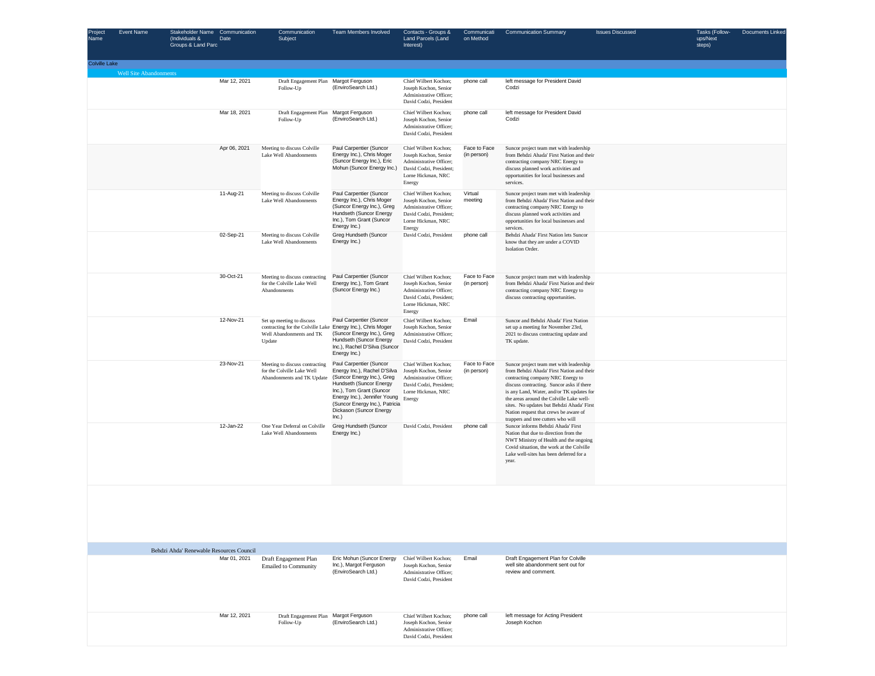| Project<br>Name | Event Name                    | Stakeholder Name Communication<br>(Individuals &<br>Groups & Land Parc | Date         | Communication<br>Subject                                                                                                       | Team Members Involved                                                                                                                                                                                                                              | Contacts - Groups &<br>Land Parcels (Land<br>Interest)                                                                               | Communicati<br>on Method    | <b>Communication Summary</b>                                                                                                                                                                                                                                                                                                                                                                | <b>Issues Discussed</b> | Tasks (Follow-<br>ups/Next<br>steps) | Documents Linked |
|-----------------|-------------------------------|------------------------------------------------------------------------|--------------|--------------------------------------------------------------------------------------------------------------------------------|----------------------------------------------------------------------------------------------------------------------------------------------------------------------------------------------------------------------------------------------------|--------------------------------------------------------------------------------------------------------------------------------------|-----------------------------|---------------------------------------------------------------------------------------------------------------------------------------------------------------------------------------------------------------------------------------------------------------------------------------------------------------------------------------------------------------------------------------------|-------------------------|--------------------------------------|------------------|
| Colville Lake   |                               |                                                                        |              |                                                                                                                                |                                                                                                                                                                                                                                                    |                                                                                                                                      |                             |                                                                                                                                                                                                                                                                                                                                                                                             |                         |                                      |                  |
|                 | <b>Well Site Abandonments</b> |                                                                        | Mar 12, 2021 | Draft Engagement Plan Margot Ferguson<br>Follow-Up                                                                             | (EnviroSearch Ltd.)                                                                                                                                                                                                                                | Chief Wilbert Kochon;<br>Joseph Kochon, Senior<br>Administrative Officer:<br>David Codzi, President                                  | phone call                  | left message for President David<br>Codzi                                                                                                                                                                                                                                                                                                                                                   |                         |                                      |                  |
|                 |                               |                                                                        | Mar 18, 2021 | Draft Engagement Plan Margot Ferguson<br>Follow-Up                                                                             | (EnviroSearch Ltd.)                                                                                                                                                                                                                                | Chief Wilbert Kochon;<br>Joseph Kochon, Senior<br>Administrative Officer;<br>David Codzi, President                                  | phone call                  | left message for President David<br>Codzi                                                                                                                                                                                                                                                                                                                                                   |                         |                                      |                  |
|                 |                               |                                                                        | Apr 06, 2021 | Meeting to discuss Colville<br>Lake Well Abandonments                                                                          | Paul Carpentier (Suncor<br>Energy Inc.), Chris Moger<br>(Suncor Energy Inc.), Eric<br>Mohun (Suncor Energy Inc.)                                                                                                                                   | Chief Wilbert Kochon;<br>Joseph Kochon, Senior<br>Administrative Officer;<br>David Codzi, President;<br>Lorne Hickman, NRC<br>Energy | Face to Face<br>(in person) | Suncor project team met with leadership<br>from Behdzi Ahada' First Nation and their<br>contracting company NRC Energy to<br>discuss planned work activities and<br>opportunities for local businesses and<br>services.                                                                                                                                                                     |                         |                                      |                  |
|                 |                               |                                                                        | 11-Aug-21    | Meeting to discuss Colville<br>Lake Well Abandonments                                                                          | Paul Carpentier (Suncor<br>Energy Inc.), Chris Moger<br>(Suncor Energy Inc.), Greg<br>Hundseth (Suncor Energy<br>Inc.), Tom Grant (Suncor<br>Energy Inc.)                                                                                          | Chief Wilbert Kochon;<br>Joseph Kochon, Senior<br>Administrative Officer;<br>David Codzi, President;<br>Lorne Hickman, NRC<br>Energy | Virtual<br>meeting          | Suncor project team met with leadership<br>from Behdzi Ahada' First Nation and their<br>contracting company NRC Energy to<br>discuss planned work activities and<br>opportunities for local businesses and<br>services.                                                                                                                                                                     |                         |                                      |                  |
|                 |                               |                                                                        | 02-Sep-21    | Meeting to discuss Colville<br>Lake Well Abandonments                                                                          | Greg Hundseth (Suncor<br>Energy Inc.)                                                                                                                                                                                                              | David Codzi, President                                                                                                               | phone call                  | Behdzi Ahada' First Nation lets Suncor<br>know that they are under a COVID<br>Isolation Order.                                                                                                                                                                                                                                                                                              |                         |                                      |                  |
|                 |                               |                                                                        | 30-Oct-21    | Meeting to discuss contracting<br>for the Colville Lake Well<br>Abandonments                                                   | Paul Carpentier (Suncor<br>Energy Inc.), Tom Grant<br>(Suncor Energy Inc.)                                                                                                                                                                         | Chief Wilbert Kochon;<br>Joseph Kochon, Senior<br>Administrative Officer;<br>David Codzi, President;<br>Lorne Hickman, NRC<br>Energy | Face to Face<br>(in person) | Suncor project team met with leadership<br>from Behdzi Ahada' First Nation and their<br>contracting company NRC Energy to<br>discuss contracting opportunities.                                                                                                                                                                                                                             |                         |                                      |                  |
|                 |                               |                                                                        | 12-Nov-21    | Set up meeting to discuss<br>contracting for the Colville Lake Energy Inc.), Chris Moger<br>Well Abandonments and TK<br>Update | Paul Carpentier (Suncor<br>(Suncor Energy Inc.), Greg<br>Hundseth (Suncor Energy<br>Inc.), Rachel D'Silva (Suncor<br>Energy Inc.)                                                                                                                  | Chief Wilbert Kochon;<br>Joseph Kochon, Senior<br>Administrative Officer;<br>David Codzi, President                                  | Email                       | Suncor and Behdzi Ahada' First Nation<br>set up a meeting for November 23rd,<br>2021 to discuss contracting update and<br>TK update.                                                                                                                                                                                                                                                        |                         |                                      |                  |
|                 |                               |                                                                        | 23-Nov-21    | Meeting to discuss contracting<br>for the Colville Lake Well<br>Abandonments and TK Update                                     | Paul Carpentier (Suncor<br>Energy Inc.), Rachel D'Silva<br>(Suncor Energy Inc.), Greg<br>Hundseth (Suncor Energy<br>Inc.), Tom Grant (Suncor<br>Energy Inc.), Jennifer Young<br>(Suncor Energy Inc.), Patricia<br>Dickason (Suncor Energy<br>Inc.) | Chief Wilbert Kochon;<br>Joseph Kochon, Senior<br>Administrative Officer;<br>David Codzi, President;<br>Lorne Hickman, NRC<br>Energy | Face to Face<br>(in person) | Suncor project team met with leadership<br>from Behdzi Ahada' First Nation and their<br>contracting company NRC Energy to<br>discuss contracting. Suncor asks if there<br>is any Land, Water, and/or TK updates for<br>the areas around the Colville Lake well-<br>sites. No updates but Behdzi Ahada' First<br>Nation request that crews be aware of<br>trappers and tree cutters who will |                         |                                      |                  |
|                 |                               |                                                                        | 12-Jan-22    | One Year Deferral on Colville<br>Lake Well Abandonments                                                                        | Greg Hundseth (Suncor<br>Energy Inc.)                                                                                                                                                                                                              | David Codzi, President                                                                                                               | phone call                  | Suncor informs Behdzi Ahada' First<br>Nation that due to direction from the<br>NWT Ministry of Health and the ongoing<br>Covid situation, the work at the Colville<br>Lake well-sites has been deferred for a<br>year.                                                                                                                                                                      |                         |                                      |                  |
|                 |                               |                                                                        |              |                                                                                                                                |                                                                                                                                                                                                                                                    |                                                                                                                                      |                             |                                                                                                                                                                                                                                                                                                                                                                                             |                         |                                      |                  |
|                 |                               | Behdzi Ahda' Renewable Resources Council                               |              |                                                                                                                                |                                                                                                                                                                                                                                                    |                                                                                                                                      |                             |                                                                                                                                                                                                                                                                                                                                                                                             |                         |                                      |                  |
|                 |                               |                                                                        | Mar 01, 2021 | Draft Engagement Plan<br><b>Emailed to Community</b>                                                                           | Eric Mohun (Suncor Energy<br>Inc.), Margot Ferguson<br>(EnviroSearch Ltd.)                                                                                                                                                                         | Chief Wilbert Kochon;<br>Joseph Kochon, Senior<br>Administrative Officer:<br>David Codzi, President                                  | Email                       | Draft Engagement Plan for Colville<br>well site abandonment sent out for<br>review and comment.                                                                                                                                                                                                                                                                                             |                         |                                      |                  |
|                 |                               |                                                                        | Mar 12, 2021 | Draft Engagement Plan Margot Ferguson<br>Follow-Up                                                                             | (EnviroSearch Ltd.)                                                                                                                                                                                                                                | Chief Wilbert Kochon;<br>Joseph Kochon, Senior<br>Administrative Officer:<br>David Codzi, President                                  | phone call                  | left message for Acting President<br>Joseph Kochon                                                                                                                                                                                                                                                                                                                                          |                         |                                      |                  |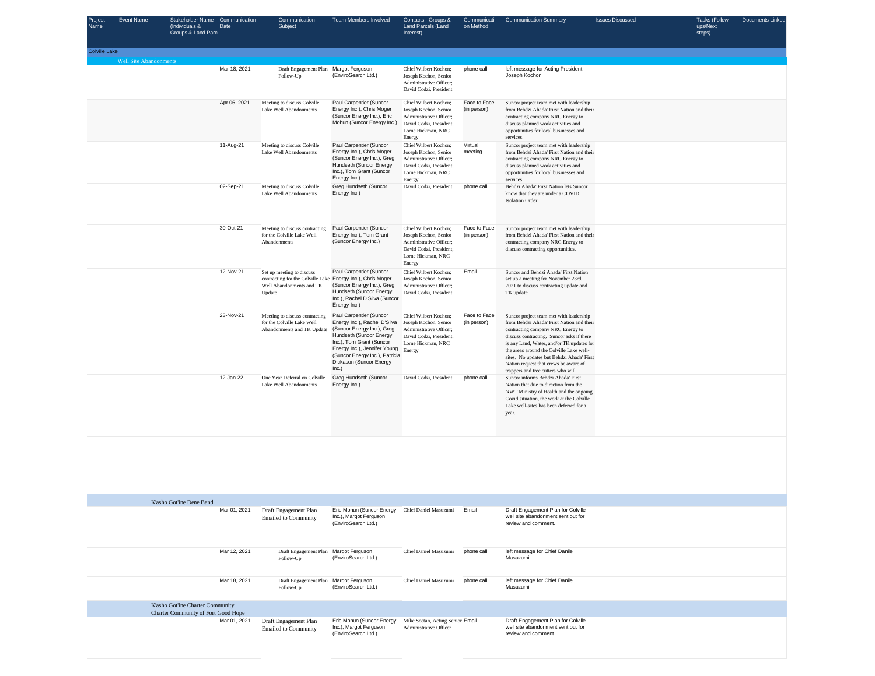| Project<br>Name      | <b>Event Name</b>             | <b>Stakeholder Name</b><br>(Individuals &<br>Groups & Land Parc                | Communication<br>Date | Communication<br>Subject                                                                             | Team Members Involved                                                                                                                                                                                                                              | Contacts - Groups &<br>Land Parcels (Land<br>Interest)                                                                               | Communicati<br>on Method    | <b>Communication Summary</b>                                                                                                                                                                                                                                                                                                                                                                | <b>Issues Discussed</b> | Tasks (Follow-<br>ups/Next<br>steps) | Documents Linked |
|----------------------|-------------------------------|--------------------------------------------------------------------------------|-----------------------|------------------------------------------------------------------------------------------------------|----------------------------------------------------------------------------------------------------------------------------------------------------------------------------------------------------------------------------------------------------|--------------------------------------------------------------------------------------------------------------------------------------|-----------------------------|---------------------------------------------------------------------------------------------------------------------------------------------------------------------------------------------------------------------------------------------------------------------------------------------------------------------------------------------------------------------------------------------|-------------------------|--------------------------------------|------------------|
| <b>Colville Lake</b> |                               |                                                                                |                       |                                                                                                      |                                                                                                                                                                                                                                                    |                                                                                                                                      |                             |                                                                                                                                                                                                                                                                                                                                                                                             |                         |                                      |                  |
|                      | <b>Well Site Abandonments</b> |                                                                                | Mar 18, 2021          | Draft Engagement Plan Margot Ferguson<br>Follow-Up                                                   | (EnviroSearch Ltd.)                                                                                                                                                                                                                                | Chief Wilbert Kochon;<br>Joseph Kochon, Senior<br>Administrative Officer;<br>David Codzi, President                                  | phone call                  | left message for Acting President<br>Joseph Kochon                                                                                                                                                                                                                                                                                                                                          |                         |                                      |                  |
|                      |                               |                                                                                | Apr 06, 2021          | Meeting to discuss Colville<br>Lake Well Abandonments                                                | Paul Carpentier (Suncor<br>Energy Inc.), Chris Moger<br>(Suncor Energy Inc.), Eric<br>Mohun (Suncor Energy Inc.)                                                                                                                                   | Chief Wilbert Kochon;<br>Joseph Kochon, Senior<br>Administrative Officer;<br>David Codzi, President;<br>Lorne Hickman, NRC<br>Energy | Face to Face<br>(in person) | Suncor project team met with leadership<br>from Behdzi Ahada' First Nation and their<br>contracting company NRC Energy to<br>discuss planned work activities and<br>opportunities for local businesses and<br>services.                                                                                                                                                                     |                         |                                      |                  |
|                      |                               |                                                                                | 11-Aug-21             | Meeting to discuss Colville<br>Lake Well Abandonments                                                | Paul Carpentier (Suncor<br>Energy Inc.), Chris Moger<br>(Suncor Energy Inc.), Greg<br>Hundseth (Suncor Energy<br>Inc.), Tom Grant (Suncor<br>Energy Inc.)                                                                                          | Chief Wilbert Kochon;<br>Joseph Kochon, Senior<br>Administrative Officer;<br>David Codzi, President;<br>Lorne Hickman, NRC<br>Energy | Virtual<br>meeting          | Suncor project team met with leadership<br>from Behdzi Ahada' First Nation and their<br>contracting company NRC Energy to<br>discuss planned work activities and<br>opportunities for local businesses and<br>services.                                                                                                                                                                     |                         |                                      |                  |
|                      |                               |                                                                                | 02-Sep-21             | Meeting to discuss Colville<br>Lake Well Abandonments                                                | Greg Hundseth (Suncor<br>Energy Inc.)                                                                                                                                                                                                              | David Codzi, President                                                                                                               | phone call                  | Behdzi Ahada' First Nation lets Suncor<br>know that they are under a COVID<br>Isolation Order.                                                                                                                                                                                                                                                                                              |                         |                                      |                  |
|                      |                               |                                                                                | 30-Oct-21             | Meeting to discuss contracting<br>for the Colville Lake Well<br>Abandonments                         | Paul Carpentier (Suncor<br>Energy Inc.), Tom Grant<br>(Suncor Energy Inc.)                                                                                                                                                                         | Chief Wilbert Kochon;<br>Joseph Kochon, Senior<br>Administrative Officer:<br>David Codzi, President;<br>Lorne Hickman, NRC<br>Energy | Face to Face<br>(in person) | Suncor project team met with leadership<br>from Behdzi Ahada' First Nation and their<br>contracting company NRC Energy to<br>discuss contracting opportunities.                                                                                                                                                                                                                             |                         |                                      |                  |
|                      |                               |                                                                                | 12-Nov-21             | Set up meeting to discuss<br>contracting for the Colville Lake<br>Well Abandonments and TK<br>Update | Paul Carpentier (Suncor<br>Energy Inc.), Chris Moger<br>(Suncor Energy Inc.), Greg<br>Hundseth (Suncor Energy<br>Inc.), Rachel D'Silva (Suncor<br>Energy Inc.)                                                                                     | Chief Wilbert Kochon;<br>Joseph Kochon, Senior<br>Administrative Officer;<br>David Codzi, President                                  | Email                       | Suncor and Behdzi Ahada' First Nation<br>set up a meeting for November 23rd,<br>2021 to discuss contracting update and<br>TK update.                                                                                                                                                                                                                                                        |                         |                                      |                  |
|                      |                               |                                                                                | 23-Nov-21             | Meeting to discuss contracting<br>for the Colville Lake Well<br>Abandonments and TK Update           | Paul Carpentier (Suncor<br>Energy Inc.), Rachel D'Silva<br>(Suncor Energy Inc.), Greg<br>Hundseth (Suncor Energy<br>Inc.), Tom Grant (Suncor<br>Energy Inc.), Jennifer Young<br>(Suncor Energy Inc.), Patricia<br>Dickason (Suncor Energy<br>Inc.) | Chief Wilbert Kochon;<br>Joseph Kochon, Senior<br>Administrative Officer;<br>David Codzi, President;<br>Lorne Hickman, NRC<br>Energy | Face to Face<br>(in person) | Suncor project team met with leadership<br>from Behdzi Ahada' First Nation and their<br>contracting company NRC Energy to<br>discuss contracting. Suncor asks if there<br>is any Land, Water, and/or TK updates for<br>the areas around the Colville Lake well-<br>sites. No updates but Behdzi Ahada' First<br>Nation request that crews be aware of<br>trappers and tree cutters who will |                         |                                      |                  |
|                      |                               |                                                                                | 12-Jan-22             | One Year Deferral on Colville<br>Lake Well Abandonments                                              | Greg Hundseth (Suncor<br>Energy Inc.)                                                                                                                                                                                                              | David Codzi, President                                                                                                               | phone call                  | Suncor informs Behdzi Ahada' First<br>Nation that due to direction from the<br>NWT Ministry of Health and the ongoing<br>Covid situation, the work at the Colville<br>Lake well-sites has been deferred for a<br>year.                                                                                                                                                                      |                         |                                      |                  |
|                      |                               |                                                                                |                       |                                                                                                      |                                                                                                                                                                                                                                                    |                                                                                                                                      |                             |                                                                                                                                                                                                                                                                                                                                                                                             |                         |                                      |                  |
|                      |                               | K'asho Got'ine Dene Band                                                       |                       | Mar 01, 2021 Draft Engagement Plan                                                                   | Eric Mohun (Suncor Energy Chief Daniel Masuzumi                                                                                                                                                                                                    |                                                                                                                                      | Email                       | Draft Engagement Plan for Colville                                                                                                                                                                                                                                                                                                                                                          |                         |                                      |                  |
|                      |                               |                                                                                |                       | <b>Emailed to Community</b>                                                                          | Inc.), Margot Ferguson<br>(EnviroSearch Ltd.)                                                                                                                                                                                                      |                                                                                                                                      |                             | well site abandonment sent out for<br>review and comment.                                                                                                                                                                                                                                                                                                                                   |                         |                                      |                  |
|                      |                               |                                                                                | Mar 12, 2021          | Draft Engagement Plan<br>Follow-Up                                                                   | Margot Ferguson<br>(EnviroSearch Ltd.)                                                                                                                                                                                                             | Chief Daniel Masuzumi                                                                                                                | phone call                  | left message for Chief Danile<br>Masuzumi                                                                                                                                                                                                                                                                                                                                                   |                         |                                      |                  |
|                      |                               |                                                                                | Mar 18, 2021          | Draft Engagement Plan<br>Follow-Up                                                                   | Margot Ferguson<br>(EnviroSearch Ltd.)                                                                                                                                                                                                             | Chief Daniel Masuzumi                                                                                                                | phone call                  | left message for Chief Danile<br>Masuzumi                                                                                                                                                                                                                                                                                                                                                   |                         |                                      |                  |
|                      |                               | K'asho Got'ine Charter Community<br><b>Charter Community of Fort Good Hope</b> |                       |                                                                                                      |                                                                                                                                                                                                                                                    |                                                                                                                                      |                             |                                                                                                                                                                                                                                                                                                                                                                                             |                         |                                      |                  |
|                      |                               |                                                                                | Mar 01, 2021          | Draft Engagement Plan<br><b>Emailed to Community</b>                                                 | Eric Mohun (Suncor Energy<br>Inc.), Margot Ferguson<br>(EnviroSearch Ltd.)                                                                                                                                                                         | Mike Soetan, Acting Senior Email<br>Administrative Officer                                                                           |                             | Draft Engagement Plan for Colville<br>well site abandonment sent out for<br>review and comment.                                                                                                                                                                                                                                                                                             |                         |                                      |                  |
|                      |                               |                                                                                |                       |                                                                                                      |                                                                                                                                                                                                                                                    |                                                                                                                                      |                             |                                                                                                                                                                                                                                                                                                                                                                                             |                         |                                      |                  |